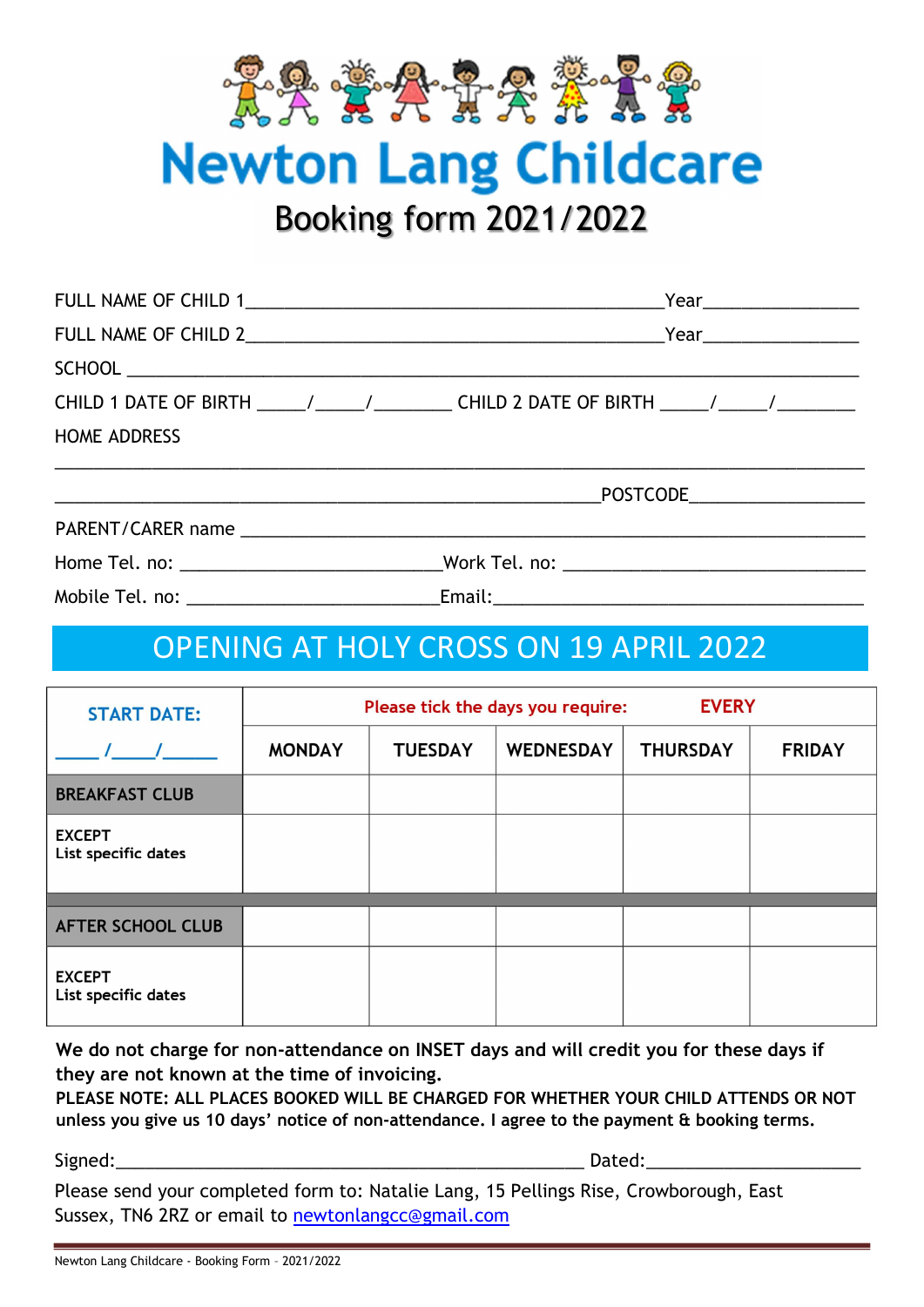

**Newton Lang Childcare** 

Booking form 2021/2022

|                      | $Year$ and $\frac{1}{1}$ and $\frac{1}{1}$ and $\frac{1}{1}$ and $\frac{1}{1}$ and $\frac{1}{1}$ and $\frac{1}{1}$ and $\frac{1}{1}$ and $\frac{1}{1}$ and $\frac{1}{1}$ and $\frac{1}{1}$ and $\frac{1}{1}$ and $\frac{1}{1}$ and $\frac{1}{1}$ and $\frac{1}{1}$ and $\frac{1}{1}$ and $\frac$ |
|----------------------|--------------------------------------------------------------------------------------------------------------------------------------------------------------------------------------------------------------------------------------------------------------------------------------------------|
| FULL NAME OF CHILD 2 |                                                                                                                                                                                                                                                                                                  |
|                      |                                                                                                                                                                                                                                                                                                  |
|                      | CHILD 1 DATE OF BIRTH ______/________________CHILD 2 DATE OF BIRTH ______/________                                                                                                                                                                                                               |
| <b>HOME ADDRESS</b>  |                                                                                                                                                                                                                                                                                                  |
|                      |                                                                                                                                                                                                                                                                                                  |

| PARENT/CARER name |  |
|-------------------|--|
|                   |  |

Home Tel. no: \_\_\_\_\_\_\_\_\_\_\_\_\_\_\_\_\_\_\_\_\_\_\_\_\_\_\_\_\_\_\_\_\_Work Tel. no: \_\_\_\_\_\_\_\_\_\_\_\_\_\_\_\_\_\_\_\_

Mobile Tel. no: \_\_\_\_\_\_\_\_\_\_\_\_\_\_\_\_\_\_\_\_\_\_\_\_\_\_Email:\_\_\_\_\_\_\_\_\_\_\_\_\_\_\_\_\_\_\_\_\_\_\_\_\_\_\_\_\_\_\_\_\_\_\_\_\_\_

## OPENING AT HOLY CROSS ON 19 APRIL 2022

| <b>START DATE:</b>                   | Please tick the days you require:<br><b>EVERY</b> |                |                  |                 |               |
|--------------------------------------|---------------------------------------------------|----------------|------------------|-----------------|---------------|
|                                      | <b>MONDAY</b>                                     | <b>TUESDAY</b> | <b>WEDNESDAY</b> | <b>THURSDAY</b> | <b>FRIDAY</b> |
| <b>BREAKFAST CLUB</b>                |                                                   |                |                  |                 |               |
| <b>EXCEPT</b><br>List specific dates |                                                   |                |                  |                 |               |
| <b>AFTER SCHOOL CLUB</b>             |                                                   |                |                  |                 |               |
| <b>EXCEPT</b><br>List specific dates |                                                   |                |                  |                 |               |

We do not charge for non-attendance on INSET days and will credit you for these days if they are not known at the time of invoicing.

PLEASE NOTE: ALL PLACES BOOKED WILL BE CHARGED FOR WHETHER YOUR CHILD ATTENDS OR NOT unless you give us 10 days' notice of non-attendance. I agree to the payment & booking terms.

Signed:\_\_\_\_\_\_\_\_\_\_\_\_\_\_\_\_\_\_\_\_\_\_\_\_\_\_\_\_\_\_\_\_\_\_\_\_\_\_\_\_\_\_\_\_\_\_\_\_ Dated:\_\_\_\_\_\_\_\_\_\_\_\_\_\_\_\_\_\_\_\_\_\_

Please send your completed form to: Natalie Lang, 15 Pellings Rise, Crowborough, East Sussex, TN6 2RZ or email to newtonlangcc@gmail.com